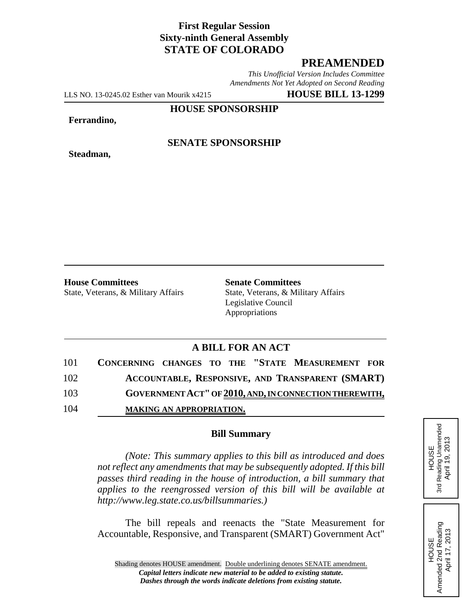## **First Regular Session Sixty-ninth General Assembly STATE OF COLORADO**

# **PREAMENDED**

*This Unofficial Version Includes Committee Amendments Not Yet Adopted on Second Reading*

LLS NO. 13-0245.02 Esther van Mourik x4215 **HOUSE BILL 13-1299**

**HOUSE SPONSORSHIP**

#### **Ferrandino,**

**Steadman,**

### **SENATE SPONSORSHIP**

**House Committees Senate Committees** 

State, Veterans, & Military Affairs State, Veterans, & Military Affairs Legislative Council Appropriations

# **A BILL FOR AN ACT**

| 101 | CONCERNING CHANGES TO THE "STATE MEASUREMENT FOR       |
|-----|--------------------------------------------------------|
| 102 | ACCOUNTABLE, RESPONSIVE, AND TRANSPARENT (SMART)       |
| 103 | GOVERNMENT ACT" OF 2010, AND, IN CONNECTION THEREWITH, |
| 104 | <b>MAKING AN APPROPRIATION.</b>                        |

#### **Bill Summary**

*(Note: This summary applies to this bill as introduced and does not reflect any amendments that may be subsequently adopted. If this bill passes third reading in the house of introduction, a bill summary that applies to the reengrossed version of this bill will be available at http://www.leg.state.co.us/billsummaries.)*

The bill repeals and reenacts the "State Measurement for Accountable, Responsive, and Transparent (SMART) Government Act"

HOUSE<br>Reading Unamended<br>April 19, 2013 3rd Reading Unamended April 19, 2013

3rd

HOUSE<br>Amended 2nd Reading<br>April 17, 2013 Amended 2nd Reading April 17, 2013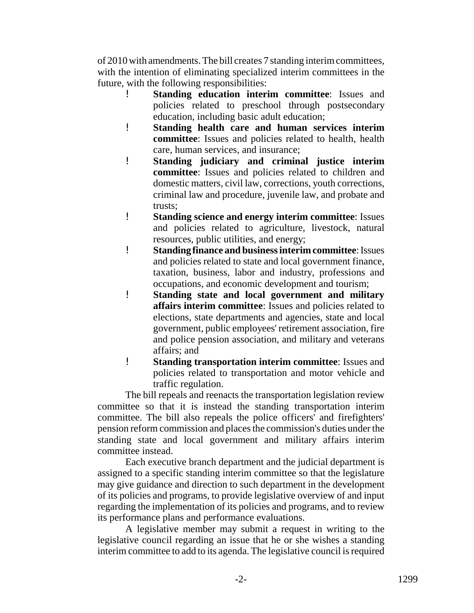of 2010 with amendments. The bill creates 7 standing interim committees, with the intention of eliminating specialized interim committees in the future, with the following responsibilities:

- ! **Standing education interim committee**: Issues and policies related to preschool through postsecondary education, including basic adult education;
- ! **Standing health care and human services interim committee**: Issues and policies related to health, health care, human services, and insurance;
- ! **Standing judiciary and criminal justice interim committee**: Issues and policies related to children and domestic matters, civil law, corrections, youth corrections, criminal law and procedure, juvenile law, and probate and trusts;
- ! **Standing science and energy interim committee**: Issues and policies related to agriculture, livestock, natural resources, public utilities, and energy;
- ! **Standing finance and business interim committee**: Issues and policies related to state and local government finance, taxation, business, labor and industry, professions and occupations, and economic development and tourism;
- ! **Standing state and local government and military affairs interim committee**: Issues and policies related to elections, state departments and agencies, state and local government, public employees' retirement association, fire and police pension association, and military and veterans affairs; and
- ! **Standing transportation interim committee**: Issues and policies related to transportation and motor vehicle and traffic regulation.

The bill repeals and reenacts the transportation legislation review committee so that it is instead the standing transportation interim committee. The bill also repeals the police officers' and firefighters' pension reform commission and places the commission's duties under the standing state and local government and military affairs interim committee instead.

Each executive branch department and the judicial department is assigned to a specific standing interim committee so that the legislature may give guidance and direction to such department in the development of its policies and programs, to provide legislative overview of and input regarding the implementation of its policies and programs, and to review its performance plans and performance evaluations.

A legislative member may submit a request in writing to the legislative council regarding an issue that he or she wishes a standing interim committee to add to its agenda. The legislative council is required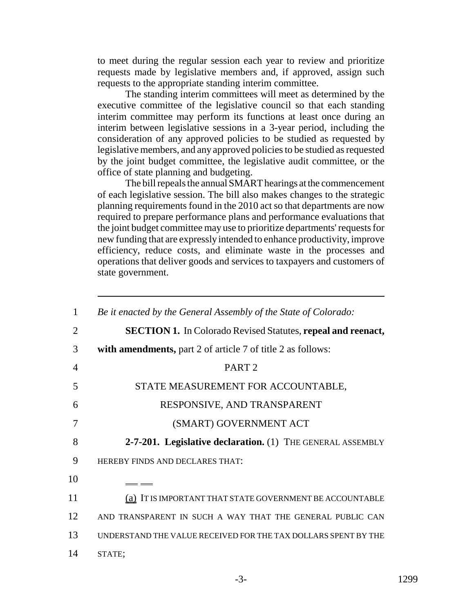to meet during the regular session each year to review and prioritize requests made by legislative members and, if approved, assign such requests to the appropriate standing interim committee.

The standing interim committees will meet as determined by the executive committee of the legislative council so that each standing interim committee may perform its functions at least once during an interim between legislative sessions in a 3-year period, including the consideration of any approved policies to be studied as requested by legislative members, and any approved policies to be studied as requested by the joint budget committee, the legislative audit committee, or the office of state planning and budgeting.

The bill repeals the annual SMART hearings at the commencement of each legislative session. The bill also makes changes to the strategic planning requirements found in the 2010 act so that departments are now required to prepare performance plans and performance evaluations that the joint budget committee may use to prioritize departments' requests for new funding that are expressly intended to enhance productivity, improve efficiency, reduce costs, and eliminate waste in the processes and operations that deliver goods and services to taxpayers and customers of state government.

| 1              | Be it enacted by the General Assembly of the State of Colorado:     |
|----------------|---------------------------------------------------------------------|
| 2              | <b>SECTION 1.</b> In Colorado Revised Statutes, repeal and reenact, |
| 3              | with amendments, part 2 of article 7 of title 2 as follows:         |
| $\overline{4}$ | PART <sub>2</sub>                                                   |
| 5              | STATE MEASUREMENT FOR ACCOUNTABLE,                                  |
| 6              | RESPONSIVE, AND TRANSPARENT                                         |
| 7              | (SMART) GOVERNMENT ACT                                              |
|                |                                                                     |
| 8              | 2-7-201. Legislative declaration. (1) THE GENERAL ASSEMBLY          |
| 9              | HEREBY FINDS AND DECLARES THAT:                                     |
| 10             | __                                                                  |
| 11             | (a) IT IS IMPORTANT THAT STATE GOVERNMENT BE ACCOUNTABLE            |
| 12             | AND TRANSPARENT IN SUCH A WAY THAT THE GENERAL PUBLIC CAN           |
| 13             | UNDERSTAND THE VALUE RECEIVED FOR THE TAX DOLLARS SPENT BY THE      |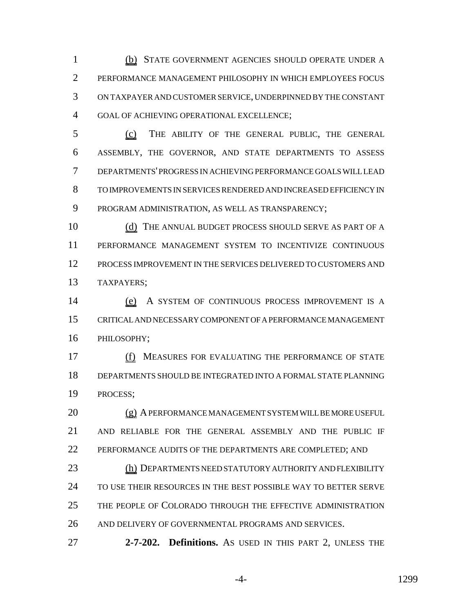(b) STATE GOVERNMENT AGENCIES SHOULD OPERATE UNDER A PERFORMANCE MANAGEMENT PHILOSOPHY IN WHICH EMPLOYEES FOCUS ON TAXPAYER AND CUSTOMER SERVICE, UNDERPINNED BY THE CONSTANT GOAL OF ACHIEVING OPERATIONAL EXCELLENCE;

 (c) THE ABILITY OF THE GENERAL PUBLIC, THE GENERAL ASSEMBLY, THE GOVERNOR, AND STATE DEPARTMENTS TO ASSESS DEPARTMENTS' PROGRESS IN ACHIEVING PERFORMANCE GOALS WILL LEAD TO IMPROVEMENTS IN SERVICES RENDERED AND INCREASED EFFICIENCY IN PROGRAM ADMINISTRATION, AS WELL AS TRANSPARENCY;

10 (d) THE ANNUAL BUDGET PROCESS SHOULD SERVE AS PART OF A PERFORMANCE MANAGEMENT SYSTEM TO INCENTIVIZE CONTINUOUS PROCESS IMPROVEMENT IN THE SERVICES DELIVERED TO CUSTOMERS AND TAXPAYERS;

 (e) A SYSTEM OF CONTINUOUS PROCESS IMPROVEMENT IS A CRITICAL AND NECESSARY COMPONENT OF A PERFORMANCE MANAGEMENT PHILOSOPHY;

 (f) MEASURES FOR EVALUATING THE PERFORMANCE OF STATE DEPARTMENTS SHOULD BE INTEGRATED INTO A FORMAL STATE PLANNING PROCESS;

 (g) A PERFORMANCE MANAGEMENT SYSTEM WILL BE MORE USEFUL AND RELIABLE FOR THE GENERAL ASSEMBLY AND THE PUBLIC IF PERFORMANCE AUDITS OF THE DEPARTMENTS ARE COMPLETED; AND

23 (h) DEPARTMENTS NEED STATUTORY AUTHORITY AND FLEXIBILITY TO USE THEIR RESOURCES IN THE BEST POSSIBLE WAY TO BETTER SERVE THE PEOPLE OF COLORADO THROUGH THE EFFECTIVE ADMINISTRATION AND DELIVERY OF GOVERNMENTAL PROGRAMS AND SERVICES.

**2-7-202. Definitions.** AS USED IN THIS PART 2, UNLESS THE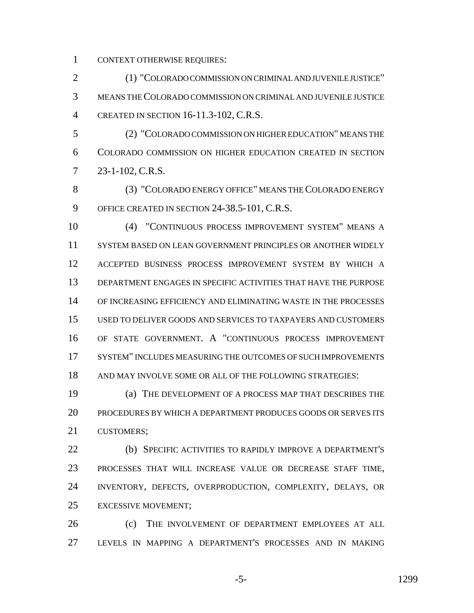CONTEXT OTHERWISE REQUIRES:

 (1) "COLORADO COMMISSION ON CRIMINAL AND JUVENILE JUSTICE" MEANS THE COLORADO COMMISSION ON CRIMINAL AND JUVENILE JUSTICE CREATED IN SECTION 16-11.3-102, C.R.S.

 (2) "COLORADO COMMISSION ON HIGHER EDUCATION" MEANS THE COLORADO COMMISSION ON HIGHER EDUCATION CREATED IN SECTION 23-1-102, C.R.S.

 (3) "COLORADO ENERGY OFFICE" MEANS THE COLORADO ENERGY OFFICE CREATED IN SECTION 24-38.5-101, C.R.S.

 (4) "CONTINUOUS PROCESS IMPROVEMENT SYSTEM" MEANS A SYSTEM BASED ON LEAN GOVERNMENT PRINCIPLES OR ANOTHER WIDELY ACCEPTED BUSINESS PROCESS IMPROVEMENT SYSTEM BY WHICH A DEPARTMENT ENGAGES IN SPECIFIC ACTIVITIES THAT HAVE THE PURPOSE OF INCREASING EFFICIENCY AND ELIMINATING WASTE IN THE PROCESSES USED TO DELIVER GOODS AND SERVICES TO TAXPAYERS AND CUSTOMERS OF STATE GOVERNMENT. A "CONTINUOUS PROCESS IMPROVEMENT 17 SYSTEM" INCLUDES MEASURING THE OUTCOMES OF SUCH IMPROVEMENTS AND MAY INVOLVE SOME OR ALL OF THE FOLLOWING STRATEGIES:

 (a) THE DEVELOPMENT OF A PROCESS MAP THAT DESCRIBES THE PROCEDURES BY WHICH A DEPARTMENT PRODUCES GOODS OR SERVES ITS CUSTOMERS;

 (b) SPECIFIC ACTIVITIES TO RAPIDLY IMPROVE A DEPARTMENT'S PROCESSES THAT WILL INCREASE VALUE OR DECREASE STAFF TIME, INVENTORY, DEFECTS, OVERPRODUCTION, COMPLEXITY, DELAYS, OR EXCESSIVE MOVEMENT;

 (c) THE INVOLVEMENT OF DEPARTMENT EMPLOYEES AT ALL LEVELS IN MAPPING A DEPARTMENT'S PROCESSES AND IN MAKING

-5- 1299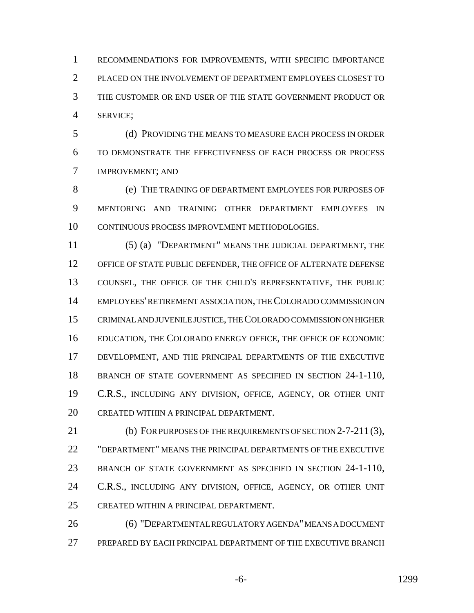RECOMMENDATIONS FOR IMPROVEMENTS, WITH SPECIFIC IMPORTANCE PLACED ON THE INVOLVEMENT OF DEPARTMENT EMPLOYEES CLOSEST TO THE CUSTOMER OR END USER OF THE STATE GOVERNMENT PRODUCT OR SERVICE;

 (d) PROVIDING THE MEANS TO MEASURE EACH PROCESS IN ORDER TO DEMONSTRATE THE EFFECTIVENESS OF EACH PROCESS OR PROCESS IMPROVEMENT; AND

 (e) THE TRAINING OF DEPARTMENT EMPLOYEES FOR PURPOSES OF MENTORING AND TRAINING OTHER DEPARTMENT EMPLOYEES IN CONTINUOUS PROCESS IMPROVEMENT METHODOLOGIES.

 (5) (a) "DEPARTMENT" MEANS THE JUDICIAL DEPARTMENT, THE OFFICE OF STATE PUBLIC DEFENDER, THE OFFICE OF ALTERNATE DEFENSE COUNSEL, THE OFFICE OF THE CHILD'S REPRESENTATIVE, THE PUBLIC EMPLOYEES' RETIREMENT ASSOCIATION, THE COLORADO COMMISSION ON CRIMINAL AND JUVENILE JUSTICE, THE COLORADO COMMISSION ON HIGHER EDUCATION, THE COLORADO ENERGY OFFICE, THE OFFICE OF ECONOMIC DEVELOPMENT, AND THE PRINCIPAL DEPARTMENTS OF THE EXECUTIVE BRANCH OF STATE GOVERNMENT AS SPECIFIED IN SECTION 24-1-110, C.R.S., INCLUDING ANY DIVISION, OFFICE, AGENCY, OR OTHER UNIT CREATED WITHIN A PRINCIPAL DEPARTMENT.

 (b) FOR PURPOSES OF THE REQUIREMENTS OF SECTION 2-7-211 (3), "DEPARTMENT" MEANS THE PRINCIPAL DEPARTMENTS OF THE EXECUTIVE BRANCH OF STATE GOVERNMENT AS SPECIFIED IN SECTION 24-1-110, 24 C.R.S., INCLUDING ANY DIVISION, OFFICE, AGENCY, OR OTHER UNIT CREATED WITHIN A PRINCIPAL DEPARTMENT.

 (6) "DEPARTMENTAL REGULATORY AGENDA" MEANS A DOCUMENT PREPARED BY EACH PRINCIPAL DEPARTMENT OF THE EXECUTIVE BRANCH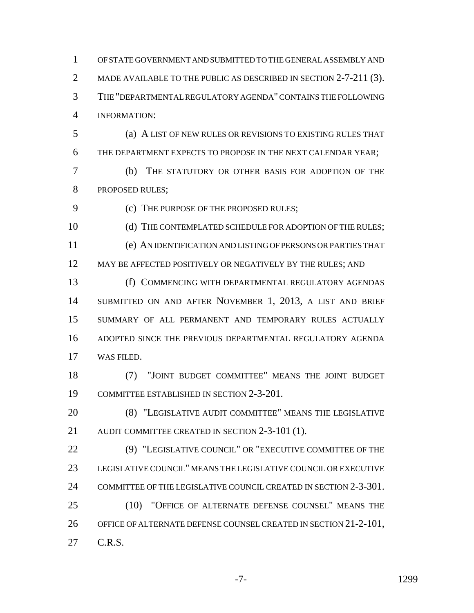OF STATE GOVERNMENT AND SUBMITTED TO THE GENERAL ASSEMBLY AND 2 MADE AVAILABLE TO THE PUBLIC AS DESCRIBED IN SECTION 2-7-211 (3). THE "DEPARTMENTAL REGULATORY AGENDA" CONTAINS THE FOLLOWING INFORMATION:

 (a) A LIST OF NEW RULES OR REVISIONS TO EXISTING RULES THAT THE DEPARTMENT EXPECTS TO PROPOSE IN THE NEXT CALENDAR YEAR;

 (b) THE STATUTORY OR OTHER BASIS FOR ADOPTION OF THE PROPOSED RULES;

(c) THE PURPOSE OF THE PROPOSED RULES;

10 (d) THE CONTEMPLATED SCHEDULE FOR ADOPTION OF THE RULES: (e) AN IDENTIFICATION AND LISTING OF PERSONS OR PARTIES THAT 12 MAY BE AFFECTED POSITIVELY OR NEGATIVELY BY THE RULES; AND

 (f) COMMENCING WITH DEPARTMENTAL REGULATORY AGENDAS SUBMITTED ON AND AFTER NOVEMBER 1, 2013, A LIST AND BRIEF SUMMARY OF ALL PERMANENT AND TEMPORARY RULES ACTUALLY ADOPTED SINCE THE PREVIOUS DEPARTMENTAL REGULATORY AGENDA WAS FILED.

 (7) "JOINT BUDGET COMMITTEE" MEANS THE JOINT BUDGET COMMITTEE ESTABLISHED IN SECTION 2-3-201.

 (8) "LEGISLATIVE AUDIT COMMITTEE" MEANS THE LEGISLATIVE 21 AUDIT COMMITTEE CREATED IN SECTION 2-3-101 (1).

 (9) "LEGISLATIVE COUNCIL" OR "EXECUTIVE COMMITTEE OF THE LEGISLATIVE COUNCIL" MEANS THE LEGISLATIVE COUNCIL OR EXECUTIVE COMMITTEE OF THE LEGISLATIVE COUNCIL CREATED IN SECTION 2-3-301. (10) "OFFICE OF ALTERNATE DEFENSE COUNSEL" MEANS THE OFFICE OF ALTERNATE DEFENSE COUNSEL CREATED IN SECTION 21-2-101,

C.R.S.

-7- 1299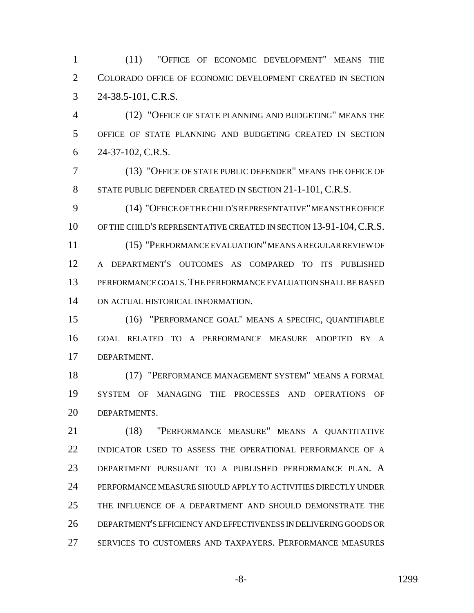(11) "OFFICE OF ECONOMIC DEVELOPMENT" MEANS THE COLORADO OFFICE OF ECONOMIC DEVELOPMENT CREATED IN SECTION 24-38.5-101, C.R.S.

 (12) "OFFICE OF STATE PLANNING AND BUDGETING" MEANS THE OFFICE OF STATE PLANNING AND BUDGETING CREATED IN SECTION 24-37-102, C.R.S.

 (13) "OFFICE OF STATE PUBLIC DEFENDER" MEANS THE OFFICE OF STATE PUBLIC DEFENDER CREATED IN SECTION 21-1-101, C.R.S.

 (14) "OFFICE OF THE CHILD'S REPRESENTATIVE" MEANS THE OFFICE OF THE CHILD'S REPRESENTATIVE CREATED IN SECTION 13-91-104,C.R.S.

 (15) "PERFORMANCE EVALUATION" MEANS A REGULAR REVIEW OF A DEPARTMENT'S OUTCOMES AS COMPARED TO ITS PUBLISHED PERFORMANCE GOALS.THE PERFORMANCE EVALUATION SHALL BE BASED ON ACTUAL HISTORICAL INFORMATION.

 (16) "PERFORMANCE GOAL" MEANS A SPECIFIC, QUANTIFIABLE GOAL RELATED TO A PERFORMANCE MEASURE ADOPTED BY A DEPARTMENT.

 (17) "PERFORMANCE MANAGEMENT SYSTEM" MEANS A FORMAL SYSTEM OF MANAGING THE PROCESSES AND OPERATIONS OF DEPARTMENTS.

 (18) "PERFORMANCE MEASURE" MEANS A QUANTITATIVE INDICATOR USED TO ASSESS THE OPERATIONAL PERFORMANCE OF A DEPARTMENT PURSUANT TO A PUBLISHED PERFORMANCE PLAN. A PERFORMANCE MEASURE SHOULD APPLY TO ACTIVITIES DIRECTLY UNDER THE INFLUENCE OF A DEPARTMENT AND SHOULD DEMONSTRATE THE DEPARTMENT'S EFFICIENCY AND EFFECTIVENESS IN DELIVERING GOODS OR SERVICES TO CUSTOMERS AND TAXPAYERS. PERFORMANCE MEASURES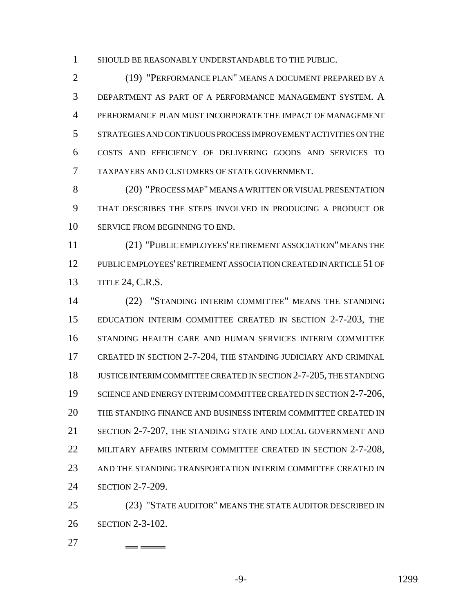SHOULD BE REASONABLY UNDERSTANDABLE TO THE PUBLIC.

 (19) "PERFORMANCE PLAN" MEANS A DOCUMENT PREPARED BY A DEPARTMENT AS PART OF A PERFORMANCE MANAGEMENT SYSTEM. A PERFORMANCE PLAN MUST INCORPORATE THE IMPACT OF MANAGEMENT STRATEGIES AND CONTINUOUS PROCESS IMPROVEMENT ACTIVITIES ON THE COSTS AND EFFICIENCY OF DELIVERING GOODS AND SERVICES TO TAXPAYERS AND CUSTOMERS OF STATE GOVERNMENT.

 (20) "PROCESS MAP" MEANS A WRITTEN OR VISUAL PRESENTATION THAT DESCRIBES THE STEPS INVOLVED IN PRODUCING A PRODUCT OR SERVICE FROM BEGINNING TO END.

 (21) "PUBLIC EMPLOYEES' RETIREMENT ASSOCIATION" MEANS THE PUBLIC EMPLOYEES' RETIREMENT ASSOCIATION CREATED IN ARTICLE 51 OF TITLE 24, C.R.S.

 (22) "STANDING INTERIM COMMITTEE" MEANS THE STANDING EDUCATION INTERIM COMMITTEE CREATED IN SECTION 2-7-203, THE STANDING HEALTH CARE AND HUMAN SERVICES INTERIM COMMITTEE CREATED IN SECTION 2-7-204, THE STANDING JUDICIARY AND CRIMINAL JUSTICE INTERIM COMMITTEE CREATED IN SECTION 2-7-205, THE STANDING 19 SCIENCE AND ENERGY INTERIM COMMITTEE CREATED IN SECTION 2-7-206, THE STANDING FINANCE AND BUSINESS INTERIM COMMITTEE CREATED IN SECTION 2-7-207, THE STANDING STATE AND LOCAL GOVERNMENT AND MILITARY AFFAIRS INTERIM COMMITTEE CREATED IN SECTION 2-7-208, AND THE STANDING TRANSPORTATION INTERIM COMMITTEE CREATED IN SECTION 2-7-209.

 (23) "STATE AUDITOR" MEANS THE STATE AUDITOR DESCRIBED IN SECTION 2-3-102.

 - -

-9- 1299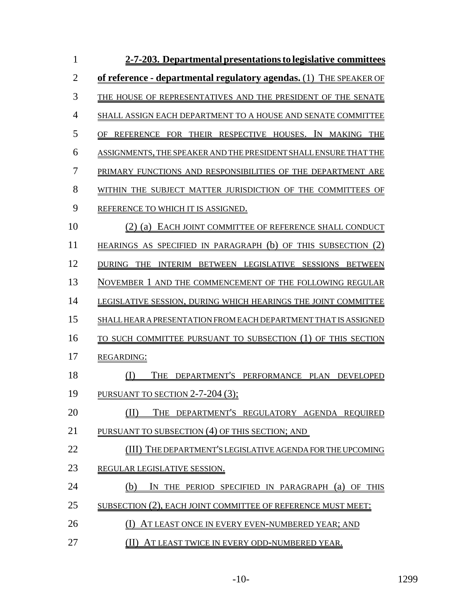| $\mathbf{1}$   | 2-7-203. Departmental presentations to legislative committees      |
|----------------|--------------------------------------------------------------------|
| $\overline{2}$ | of reference - departmental regulatory agendas. (1) THE SPEAKER OF |
| 3              | THE HOUSE OF REPRESENTATIVES AND THE PRESIDENT OF THE SENATE       |
| $\overline{4}$ | SHALL ASSIGN EACH DEPARTMENT TO A HOUSE AND SENATE COMMITTEE       |
| 5              | OF REFERENCE FOR THEIR RESPECTIVE HOUSES. IN MAKING THE            |
| 6              | ASSIGNMENTS, THE SPEAKER AND THE PRESIDENT SHALL ENSURE THAT THE   |
| 7              | PRIMARY FUNCTIONS AND RESPONSIBILITIES OF THE DEPARTMENT ARE       |
| 8              | WITHIN THE SUBJECT MATTER JURISDICTION OF THE COMMITTEES OF        |
| 9              | REFERENCE TO WHICH IT IS ASSIGNED.                                 |
| 10             | (2) (a) EACH JOINT COMMITTEE OF REFERENCE SHALL CONDUCT            |
| 11             | HEARINGS AS SPECIFIED IN PARAGRAPH (b) OF THIS SUBSECTION (2)      |
| 12             | DURING THE INTERIM BETWEEN LEGISLATIVE SESSIONS BETWEEN            |
| 13             | NOVEMBER 1 AND THE COMMENCEMENT OF THE FOLLOWING REGULAR           |
| 14             | LEGISLATIVE SESSION, DURING WHICH HEARINGS THE JOINT COMMITTEE     |
| 15             | SHALL HEAR A PRESENTATION FROM EACH DEPARTMENT THAT IS ASSIGNED    |
| 16             | TO SUCH COMMITTEE PURSUANT TO SUBSECTION (1) OF THIS SECTION       |
| 17             | <b>REGARDING:</b>                                                  |
| 18             | THE DEPARTMENT'S PERFORMANCE PLAN DEVELOPED<br>(I)                 |
| 19             | PURSUANT TO SECTION 2-7-204 (3);                                   |
| 20             | THE DEPARTMENT'S REGULATORY AGENDA REQUIRED<br>ΊD                  |
| 21             | PURSUANT TO SUBSECTION (4) OF THIS SECTION; AND                    |
| 22             | (III) THE DEPARTMENT'S LEGISLATIVE AGENDA FOR THE UPCOMING         |
| 23             | REGULAR LEGISLATIVE SESSION.                                       |
| 24             | IN THE PERIOD SPECIFIED IN PARAGRAPH (a) OF THIS<br>(b)            |
| 25             | SUBSECTION (2), EACH JOINT COMMITTEE OF REFERENCE MUST MEET:       |
| 26             | AT LEAST ONCE IN EVERY EVEN-NUMBERED YEAR; AND                     |
| 27             | (II) AT LEAST TWICE IN EVERY ODD-NUMBERED YEAR.                    |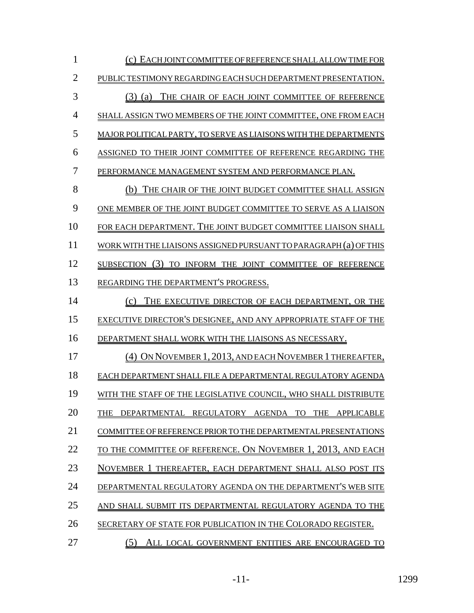| 1              | (c) EACH JOINT COMMITTEE OF REFERENCE SHALL ALLOW TIME FOR        |
|----------------|-------------------------------------------------------------------|
| $\overline{2}$ | PUBLIC TESTIMONY REGARDING EACH SUCH DEPARTMENT PRESENTATION.     |
| 3              | $(3)$ (a)<br>THE CHAIR OF EACH JOINT COMMITTEE OF REFERENCE       |
| 4              | SHALL ASSIGN TWO MEMBERS OF THE JOINT COMMITTEE, ONE FROM EACH    |
| 5              | MAJOR POLITICAL PARTY, TO SERVE AS LIAISONS WITH THE DEPARTMENTS  |
| 6              | ASSIGNED TO THEIR JOINT COMMITTEE OF REFERENCE REGARDING THE      |
| 7              | PERFORMANCE MANAGEMENT SYSTEM AND PERFORMANCE PLAN.               |
| 8              | (b)<br>THE CHAIR OF THE JOINT BUDGET COMMITTEE SHALL ASSIGN       |
| 9              | ONE MEMBER OF THE JOINT BUDGET COMMITTEE TO SERVE AS A LIAISON    |
| 10             | FOR EACH DEPARTMENT. THE JOINT BUDGET COMMITTEE LIAISON SHALL     |
| 11             | WORK WITH THE LIAISONS ASSIGNED PURSUANT TO PARAGRAPH (a) OF THIS |
| 12             | SUBSECTION (3) TO INFORM THE JOINT COMMITTEE OF REFERENCE         |
| 13             | REGARDING THE DEPARTMENT'S PROGRESS.                              |
| 14             | (c)<br>THE EXECUTIVE DIRECTOR OF EACH DEPARTMENT, OR THE          |
| 15             | EXECUTIVE DIRECTOR'S DESIGNEE, AND ANY APPROPRIATE STAFF OF THE   |
| 16             | DEPARTMENT SHALL WORK WITH THE LIAISONS AS NECESSARY.             |
| 17             | (4) ON NOVEMBER 1, 2013, AND EACH NOVEMBER 1 THEREAFTER,          |
| 18             | EACH DEPARTMENT SHALL FILE A DEPARTMENTAL REGULATORY AGENDA       |
| 19             | WITH THE STAFF OF THE LEGISLATIVE COUNCIL, WHO SHALL DISTRIBUTE   |
| 20             | DEPARTMENTAL REGULATORY AGENDA TO<br>THE APPLICABLE<br>THE        |
| 21             | COMMITTEE OF REFERENCE PRIOR TO THE DEPARTMENTAL PRESENTATIONS    |
| 22             | TO THE COMMITTEE OF REFERENCE. ON NOVEMBER 1, 2013, AND EACH      |
| 23             | NOVEMBER 1 THEREAFTER, EACH DEPARTMENT SHALL ALSO POST ITS        |
| 24             | DEPARTMENTAL REGULATORY AGENDA ON THE DEPARTMENT'S WEB SITE       |
| 25             | AND SHALL SUBMIT ITS DEPARTMENTAL REGULATORY AGENDA TO THE        |
| 26             | SECRETARY OF STATE FOR PUBLICATION IN THE COLORADO REGISTER.      |
| 27             | (5)<br>ALL LOCAL GOVERNMENT ENTITIES ARE ENCOURAGED TO            |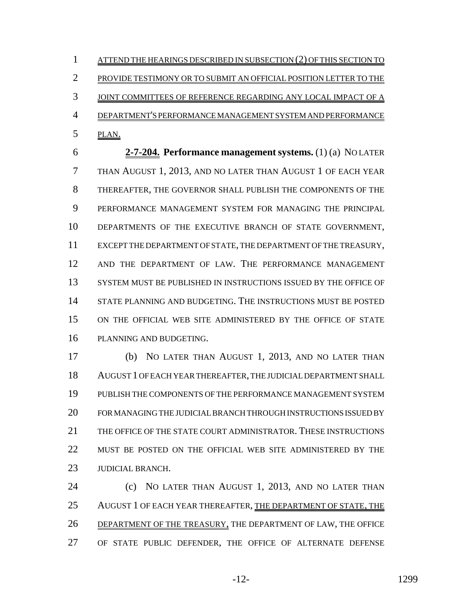1 ATTEND THE HEARINGS DESCRIBED IN SUBSECTION (2) OF THIS SECTION TO PROVIDE TESTIMONY OR TO SUBMIT AN OFFICIAL POSITION LETTER TO THE 3 JOINT COMMITTEES OF REFERENCE REGARDING ANY LOCAL IMPACT OF A DEPARTMENT'S PERFORMANCE MANAGEMENT SYSTEM AND PERFORMANCE PLAN.

 **2-7-204. Performance management systems.** (1) (a) NO LATER THAN AUGUST 1, 2013, AND NO LATER THAN AUGUST 1 OF EACH YEAR THEREAFTER, THE GOVERNOR SHALL PUBLISH THE COMPONENTS OF THE PERFORMANCE MANAGEMENT SYSTEM FOR MANAGING THE PRINCIPAL DEPARTMENTS OF THE EXECUTIVE BRANCH OF STATE GOVERNMENT, EXCEPT THE DEPARTMENT OF STATE, THE DEPARTMENT OF THE TREASURY, AND THE DEPARTMENT OF LAW. THE PERFORMANCE MANAGEMENT SYSTEM MUST BE PUBLISHED IN INSTRUCTIONS ISSUED BY THE OFFICE OF STATE PLANNING AND BUDGETING. THE INSTRUCTIONS MUST BE POSTED ON THE OFFICIAL WEB SITE ADMINISTERED BY THE OFFICE OF STATE PLANNING AND BUDGETING.

 (b) NO LATER THAN AUGUST 1, 2013, AND NO LATER THAN AUGUST 1 OF EACH YEAR THEREAFTER, THE JUDICIAL DEPARTMENT SHALL PUBLISH THE COMPONENTS OF THE PERFORMANCE MANAGEMENT SYSTEM FOR MANAGING THE JUDICIAL BRANCH THROUGH INSTRUCTIONS ISSUED BY THE OFFICE OF THE STATE COURT ADMINISTRATOR. THESE INSTRUCTIONS MUST BE POSTED ON THE OFFICIAL WEB SITE ADMINISTERED BY THE JUDICIAL BRANCH.

 (c) NO LATER THAN AUGUST 1, 2013, AND NO LATER THAN 25 AUGUST 1 OF EACH YEAR THEREAFTER, THE DEPARTMENT OF STATE, THE DEPARTMENT OF THE TREASURY, THE DEPARTMENT OF LAW, THE OFFICE OF STATE PUBLIC DEFENDER, THE OFFICE OF ALTERNATE DEFENSE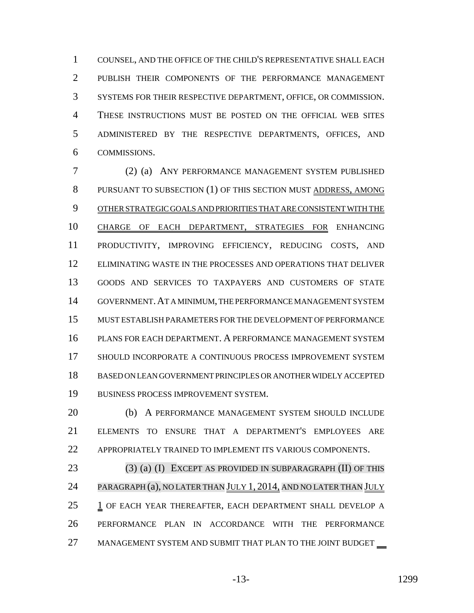COUNSEL, AND THE OFFICE OF THE CHILD'S REPRESENTATIVE SHALL EACH PUBLISH THEIR COMPONENTS OF THE PERFORMANCE MANAGEMENT SYSTEMS FOR THEIR RESPECTIVE DEPARTMENT, OFFICE, OR COMMISSION. THESE INSTRUCTIONS MUST BE POSTED ON THE OFFICIAL WEB SITES ADMINISTERED BY THE RESPECTIVE DEPARTMENTS, OFFICES, AND COMMISSIONS.

 (2) (a) ANY PERFORMANCE MANAGEMENT SYSTEM PUBLISHED PURSUANT TO SUBSECTION (1) OF THIS SECTION MUST ADDRESS, AMONG OTHER STRATEGIC GOALS AND PRIORITIES THAT ARE CONSISTENT WITH THE CHARGE OF EACH DEPARTMENT, STRATEGIES FOR ENHANCING PRODUCTIVITY, IMPROVING EFFICIENCY, REDUCING COSTS, AND ELIMINATING WASTE IN THE PROCESSES AND OPERATIONS THAT DELIVER GOODS AND SERVICES TO TAXPAYERS AND CUSTOMERS OF STATE GOVERNMENT.AT A MINIMUM, THE PERFORMANCE MANAGEMENT SYSTEM MUST ESTABLISH PARAMETERS FOR THE DEVELOPMENT OF PERFORMANCE PLANS FOR EACH DEPARTMENT. A PERFORMANCE MANAGEMENT SYSTEM SHOULD INCORPORATE A CONTINUOUS PROCESS IMPROVEMENT SYSTEM BASED ON LEAN GOVERNMENT PRINCIPLES OR ANOTHER WIDELY ACCEPTED BUSINESS PROCESS IMPROVEMENT SYSTEM.

 (b) A PERFORMANCE MANAGEMENT SYSTEM SHOULD INCLUDE ELEMENTS TO ENSURE THAT A DEPARTMENT'S EMPLOYEES ARE APPROPRIATELY TRAINED TO IMPLEMENT ITS VARIOUS COMPONENTS.

23 (3) (a) (I) EXCEPT AS PROVIDED IN SUBPARAGRAPH (II) OF THIS 24 PARAGRAPH (a), NO LATER THAN JULY 1, 2014, AND NO LATER THAN JULY 1 OF EACH YEAR THEREAFTER, EACH DEPARTMENT SHALL DEVELOP A PERFORMANCE PLAN IN ACCORDANCE WITH THE PERFORMANCE 27 MANAGEMENT SYSTEM AND SUBMIT THAT PLAN TO THE JOINT BUDGET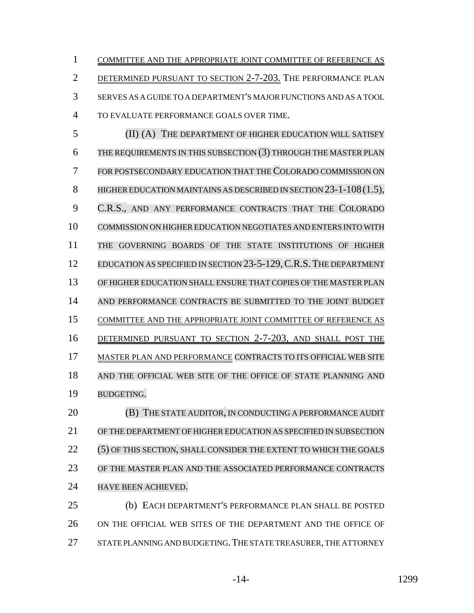COMMITTEE AND THE APPROPRIATE JOINT COMMITTEE OF REFERENCE AS DETERMINED PURSUANT TO SECTION 2-7-203. THE PERFORMANCE PLAN SERVES AS A GUIDE TO A DEPARTMENT'S MAJOR FUNCTIONS AND AS A TOOL TO EVALUATE PERFORMANCE GOALS OVER TIME.

 (II) (A) THE DEPARTMENT OF HIGHER EDUCATION WILL SATISFY THE REQUIREMENTS IN THIS SUBSECTION (3) THROUGH THE MASTER PLAN FOR POSTSECONDARY EDUCATION THAT THE COLORADO COMMISSION ON 8 HIGHER EDUCATION MAINTAINS AS DESCRIBED IN SECTION 23-1-108 (1.5), C.R.S., AND ANY PERFORMANCE CONTRACTS THAT THE COLORADO COMMISSION ON HIGHER EDUCATION NEGOTIATES AND ENTERS INTO WITH THE GOVERNING BOARDS OF THE STATE INSTITUTIONS OF HIGHER EDUCATION AS SPECIFIED IN SECTION 23-5-129,C.R.S.THE DEPARTMENT OF HIGHER EDUCATION SHALL ENSURE THAT COPIES OF THE MASTER PLAN AND PERFORMANCE CONTRACTS BE SUBMITTED TO THE JOINT BUDGET COMMITTEE AND THE APPROPRIATE JOINT COMMITTEE OF REFERENCE AS DETERMINED PURSUANT TO SECTION 2-7-203, AND SHALL POST THE 17 MASTER PLAN AND PERFORMANCE CONTRACTS TO ITS OFFICIAL WEB SITE AND THE OFFICIAL WEB SITE OF THE OFFICE OF STATE PLANNING AND BUDGETING. **(B) THE STATE AUDITOR, IN CONDUCTING A PERFORMANCE AUDIT** 

 OF THE DEPARTMENT OF HIGHER EDUCATION AS SPECIFIED IN SUBSECTION (5) OF THIS SECTION, SHALL CONSIDER THE EXTENT TO WHICH THE GOALS OF THE MASTER PLAN AND THE ASSOCIATED PERFORMANCE CONTRACTS HAVE BEEN ACHIEVED.

 (b) EACH DEPARTMENT'S PERFORMANCE PLAN SHALL BE POSTED ON THE OFFICIAL WEB SITES OF THE DEPARTMENT AND THE OFFICE OF STATE PLANNING AND BUDGETING.THE STATE TREASURER, THE ATTORNEY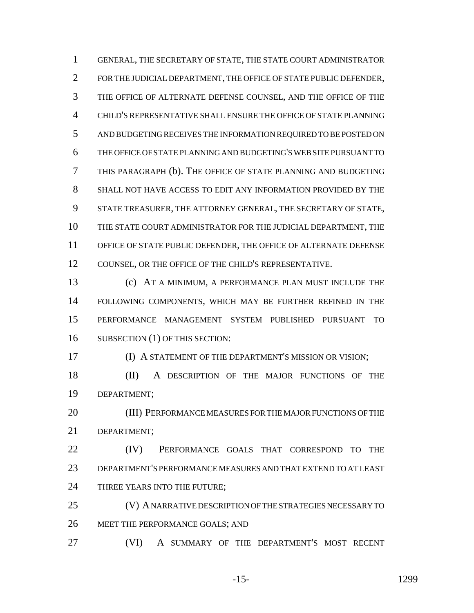GENERAL, THE SECRETARY OF STATE, THE STATE COURT ADMINISTRATOR FOR THE JUDICIAL DEPARTMENT, THE OFFICE OF STATE PUBLIC DEFENDER, THE OFFICE OF ALTERNATE DEFENSE COUNSEL, AND THE OFFICE OF THE CHILD'S REPRESENTATIVE SHALL ENSURE THE OFFICE OF STATE PLANNING AND BUDGETING RECEIVES THE INFORMATION REQUIRED TO BE POSTED ON THE OFFICE OF STATE PLANNING AND BUDGETING'S WEB SITE PURSUANT TO THIS PARAGRAPH (b). THE OFFICE OF STATE PLANNING AND BUDGETING SHALL NOT HAVE ACCESS TO EDIT ANY INFORMATION PROVIDED BY THE STATE TREASURER, THE ATTORNEY GENERAL, THE SECRETARY OF STATE, THE STATE COURT ADMINISTRATOR FOR THE JUDICIAL DEPARTMENT, THE OFFICE OF STATE PUBLIC DEFENDER, THE OFFICE OF ALTERNATE DEFENSE COUNSEL, OR THE OFFICE OF THE CHILD'S REPRESENTATIVE.

 (c) AT A MINIMUM, A PERFORMANCE PLAN MUST INCLUDE THE FOLLOWING COMPONENTS, WHICH MAY BE FURTHER REFINED IN THE PERFORMANCE MANAGEMENT SYSTEM PUBLISHED PURSUANT TO 16 SUBSECTION (1) OF THIS SECTION:

(I) A STATEMENT OF THE DEPARTMENT'S MISSION OR VISION;

 (II) A DESCRIPTION OF THE MAJOR FUNCTIONS OF THE DEPARTMENT;

 (III) PERFORMANCE MEASURES FOR THE MAJOR FUNCTIONS OF THE DEPARTMENT;

**(IV)** PERFORMANCE GOALS THAT CORRESPOND TO THE DEPARTMENT'S PERFORMANCE MEASURES AND THAT EXTEND TO AT LEAST 24 THREE YEARS INTO THE FUTURE;

 (V) A NARRATIVE DESCRIPTION OF THE STRATEGIES NECESSARY TO MEET THE PERFORMANCE GOALS; AND

(VI) A SUMMARY OF THE DEPARTMENT'S MOST RECENT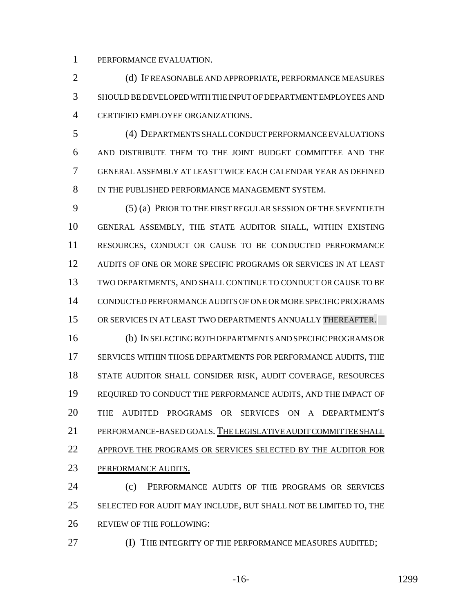PERFORMANCE EVALUATION.

2 (d) IF REASONABLE AND APPROPRIATE, PERFORMANCE MEASURES SHOULD BE DEVELOPED WITH THE INPUT OF DEPARTMENT EMPLOYEES AND CERTIFIED EMPLOYEE ORGANIZATIONS.

 (4) DEPARTMENTS SHALL CONDUCT PERFORMANCE EVALUATIONS AND DISTRIBUTE THEM TO THE JOINT BUDGET COMMITTEE AND THE GENERAL ASSEMBLY AT LEAST TWICE EACH CALENDAR YEAR AS DEFINED IN THE PUBLISHED PERFORMANCE MANAGEMENT SYSTEM.

 (5) (a) PRIOR TO THE FIRST REGULAR SESSION OF THE SEVENTIETH GENERAL ASSEMBLY, THE STATE AUDITOR SHALL, WITHIN EXISTING RESOURCES, CONDUCT OR CAUSE TO BE CONDUCTED PERFORMANCE AUDITS OF ONE OR MORE SPECIFIC PROGRAMS OR SERVICES IN AT LEAST TWO DEPARTMENTS, AND SHALL CONTINUE TO CONDUCT OR CAUSE TO BE CONDUCTED PERFORMANCE AUDITS OF ONE OR MORE SPECIFIC PROGRAMS OR SERVICES IN AT LEAST TWO DEPARTMENTS ANNUALLY THEREAFTER. (b) IN SELECTING BOTH DEPARTMENTS AND SPECIFIC PROGRAMS OR SERVICES WITHIN THOSE DEPARTMENTS FOR PERFORMANCE AUDITS, THE STATE AUDITOR SHALL CONSIDER RISK, AUDIT COVERAGE, RESOURCES REQUIRED TO CONDUCT THE PERFORMANCE AUDITS, AND THE IMPACT OF THE AUDITED PROGRAMS OR SERVICES ON A DEPARTMENT'S PERFORMANCE-BASED GOALS. THE LEGISLATIVE AUDIT COMMITTEE SHALL APPROVE THE PROGRAMS OR SERVICES SELECTED BY THE AUDITOR FOR PERFORMANCE AUDITS.

 (c) PERFORMANCE AUDITS OF THE PROGRAMS OR SERVICES 25 SELECTED FOR AUDIT MAY INCLUDE, BUT SHALL NOT BE LIMITED TO, THE REVIEW OF THE FOLLOWING:

**(I) THE INTEGRITY OF THE PERFORMANCE MEASURES AUDITED;** 

-16- 1299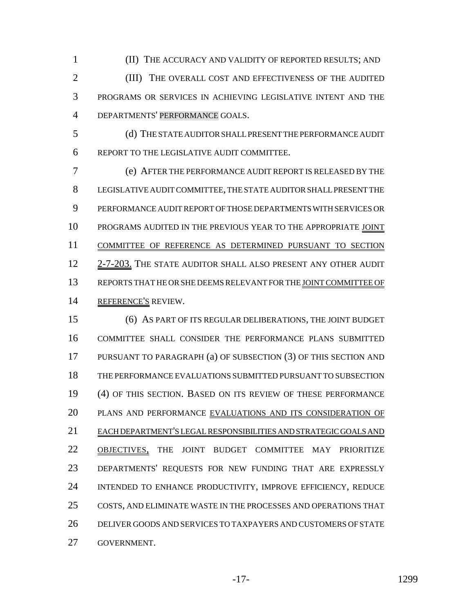(II) THE ACCURACY AND VALIDITY OF REPORTED RESULTS; AND (III) THE OVERALL COST AND EFFECTIVENESS OF THE AUDITED PROGRAMS OR SERVICES IN ACHIEVING LEGISLATIVE INTENT AND THE DEPARTMENTS' PERFORMANCE GOALS.

 (d) THE STATE AUDITOR SHALL PRESENT THE PERFORMANCE AUDIT REPORT TO THE LEGISLATIVE AUDIT COMMITTEE.

 (e) AFTER THE PERFORMANCE AUDIT REPORT IS RELEASED BY THE LEGISLATIVE AUDIT COMMITTEE, THE STATE AUDITOR SHALL PRESENT THE PERFORMANCE AUDIT REPORT OF THOSE DEPARTMENTS WITH SERVICES OR PROGRAMS AUDITED IN THE PREVIOUS YEAR TO THE APPROPRIATE JOINT COMMITTEE OF REFERENCE AS DETERMINED PURSUANT TO SECTION 12 2-7-203. THE STATE AUDITOR SHALL ALSO PRESENT ANY OTHER AUDIT REPORTS THAT HE OR SHE DEEMS RELEVANT FOR THE JOINT COMMITTEE OF REFERENCE'S REVIEW.

 (6) AS PART OF ITS REGULAR DELIBERATIONS, THE JOINT BUDGET COMMITTEE SHALL CONSIDER THE PERFORMANCE PLANS SUBMITTED PURSUANT TO PARAGRAPH (a) OF SUBSECTION (3) OF THIS SECTION AND THE PERFORMANCE EVALUATIONS SUBMITTED PURSUANT TO SUBSECTION (4) OF THIS SECTION. BASED ON ITS REVIEW OF THESE PERFORMANCE 20 PLANS AND PERFORMANCE EVALUATIONS AND ITS CONSIDERATION OF EACH DEPARTMENT'S LEGAL RESPONSIBILITIES AND STRATEGIC GOALS AND 22 OBJECTIVES, THE JOINT BUDGET COMMITTEE MAY PRIORITIZE DEPARTMENTS' REQUESTS FOR NEW FUNDING THAT ARE EXPRESSLY INTENDED TO ENHANCE PRODUCTIVITY, IMPROVE EFFICIENCY, REDUCE COSTS, AND ELIMINATE WASTE IN THE PROCESSES AND OPERATIONS THAT DELIVER GOODS AND SERVICES TO TAXPAYERS AND CUSTOMERS OF STATE GOVERNMENT.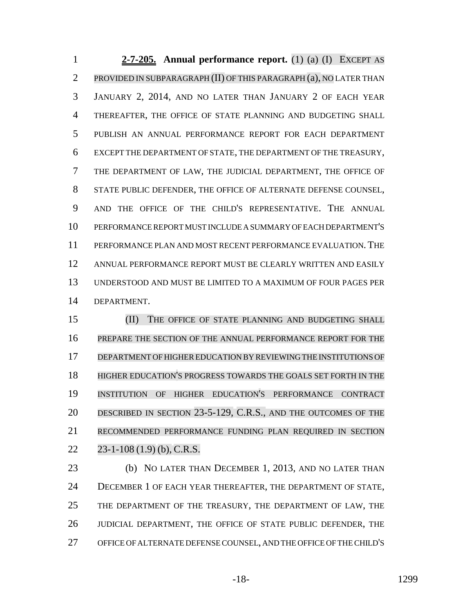**2-7-205. Annual performance report.** (1) (a) (I) EXCEPT AS PROVIDED IN SUBPARAGRAPH (II) OF THIS PARAGRAPH (a), NO LATER THAN JANUARY 2, 2014, AND NO LATER THAN JANUARY 2 OF EACH YEAR THEREAFTER, THE OFFICE OF STATE PLANNING AND BUDGETING SHALL PUBLISH AN ANNUAL PERFORMANCE REPORT FOR EACH DEPARTMENT EXCEPT THE DEPARTMENT OF STATE, THE DEPARTMENT OF THE TREASURY, THE DEPARTMENT OF LAW, THE JUDICIAL DEPARTMENT, THE OFFICE OF STATE PUBLIC DEFENDER, THE OFFICE OF ALTERNATE DEFENSE COUNSEL, AND THE OFFICE OF THE CHILD'S REPRESENTATIVE. THE ANNUAL PERFORMANCE REPORT MUST INCLUDE A SUMMARY OF EACH DEPARTMENT'S PERFORMANCE PLAN AND MOST RECENT PERFORMANCE EVALUATION.THE ANNUAL PERFORMANCE REPORT MUST BE CLEARLY WRITTEN AND EASILY UNDERSTOOD AND MUST BE LIMITED TO A MAXIMUM OF FOUR PAGES PER DEPARTMENT.

15 (II) THE OFFICE OF STATE PLANNING AND BUDGETING SHALL PREPARE THE SECTION OF THE ANNUAL PERFORMANCE REPORT FOR THE DEPARTMENT OF HIGHEREDUCATION BY REVIEWING THE INSTITUTIONS OF HIGHER EDUCATION'S PROGRESS TOWARDS THE GOALS SET FORTH IN THE INSTITUTION OF HIGHER EDUCATION'S PERFORMANCE CONTRACT DESCRIBED IN SECTION 23-5-129, C.R.S., AND THE OUTCOMES OF THE RECOMMENDED PERFORMANCE FUNDING PLAN REQUIRED IN SECTION 23-1-108 (1.9) (b), C.R.S.

 (b) NO LATER THAN DECEMBER 1, 2013, AND NO LATER THAN DECEMBER 1 OF EACH YEAR THEREAFTER, THE DEPARTMENT OF STATE, THE DEPARTMENT OF THE TREASURY, THE DEPARTMENT OF LAW, THE JUDICIAL DEPARTMENT, THE OFFICE OF STATE PUBLIC DEFENDER, THE OFFICE OF ALTERNATE DEFENSE COUNSEL, AND THE OFFICE OF THE CHILD'S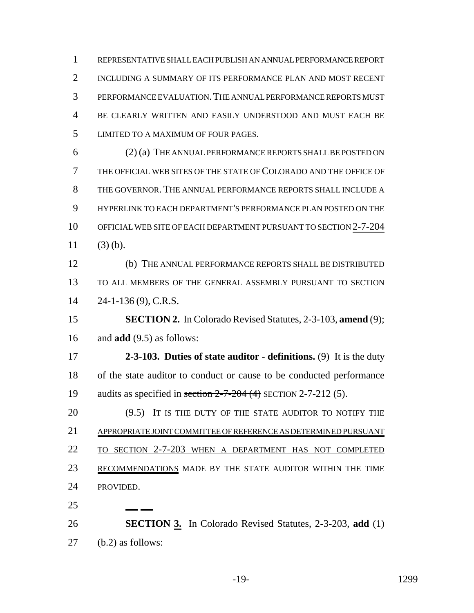REPRESENTATIVE SHALL EACH PUBLISH AN ANNUAL PERFORMANCE REPORT INCLUDING A SUMMARY OF ITS PERFORMANCE PLAN AND MOST RECENT PERFORMANCE EVALUATION.THE ANNUAL PERFORMANCE REPORTS MUST BE CLEARLY WRITTEN AND EASILY UNDERSTOOD AND MUST EACH BE LIMITED TO A MAXIMUM OF FOUR PAGES. (2) (a) THE ANNUAL PERFORMANCE REPORTS SHALL BE POSTED ON THE OFFICIAL WEB SITES OF THE STATE OF COLORADO AND THE OFFICE OF THE GOVERNOR. THE ANNUAL PERFORMANCE REPORTS SHALL INCLUDE A HYPERLINK TO EACH DEPARTMENT'S PERFORMANCE PLAN POSTED ON THE 10 OFFICIAL WEB SITE OF EACH DEPARTMENT PURSUANT TO SECTION 2-7-204

11  $(3)$  (b).

 (b) THE ANNUAL PERFORMANCE REPORTS SHALL BE DISTRIBUTED TO ALL MEMBERS OF THE GENERAL ASSEMBLY PURSUANT TO SECTION 24-1-136 (9), C.R.S.

 **SECTION 2.** In Colorado Revised Statutes, 2-3-103, **amend** (9); and **add** (9.5) as follows:

 **2-3-103. Duties of state auditor - definitions.** (9) It is the duty of the state auditor to conduct or cause to be conducted performance 19 audits as specified in section  $2-7-204$  (4) SECTION 2-7-212 (5).

20 (9.5) IT IS THE DUTY OF THE STATE AUDITOR TO NOTIFY THE APPROPRIATE JOINT COMMITTEE OF REFERENCE AS DETERMINED PURSUANT TO SECTION 2-7-203 WHEN A DEPARTMENT HAS NOT COMPLETED 23 RECOMMENDATIONS MADE BY THE STATE AUDITOR WITHIN THE TIME PROVIDED.

 **SECTION 3.** In Colorado Revised Statutes, 2-3-203, **add** (1) (b.2) as follows: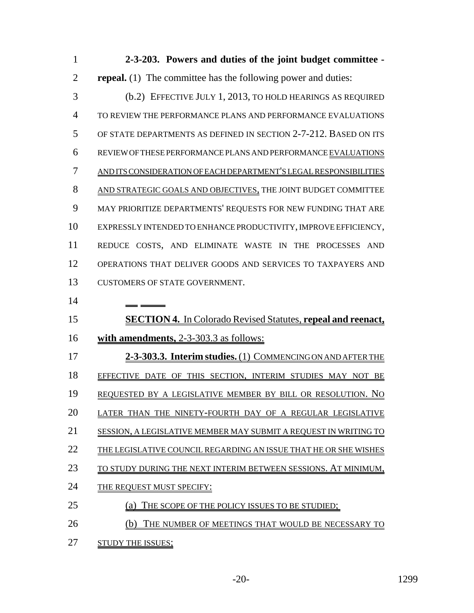| $\mathbf{1}$   | 2-3-203. Powers and duties of the joint budget committee -           |
|----------------|----------------------------------------------------------------------|
| $\overline{2}$ | <b>repeal.</b> (1) The committee has the following power and duties: |
| 3              | (b.2) EFFECTIVE JULY 1, 2013, TO HOLD HEARINGS AS REQUIRED           |
| 4              | TO REVIEW THE PERFORMANCE PLANS AND PERFORMANCE EVALUATIONS          |
| 5              | OF STATE DEPARTMENTS AS DEFINED IN SECTION 2-7-212. BASED ON ITS     |
| 6              | REVIEW OF THESE PERFORMANCE PLANS AND PERFORMANCE EVALUATIONS        |
| 7              | AND ITS CONSIDERATION OF EACH DEPARTMENT'S LEGAL RESPONSIBILITIES    |
| 8              | AND STRATEGIC GOALS AND OBJECTIVES, THE JOINT BUDGET COMMITTEE       |
| 9              | MAY PRIORITIZE DEPARTMENTS' REQUESTS FOR NEW FUNDING THAT ARE        |
| 10             | EXPRESSLY INTENDED TO ENHANCE PRODUCTIVITY, IMPROVE EFFICIENCY,      |
| 11             | REDUCE COSTS, AND ELIMINATE WASTE IN THE PROCESSES AND               |
| 12             | OPERATIONS THAT DELIVER GOODS AND SERVICES TO TAXPAYERS AND          |
| 13             | CUSTOMERS OF STATE GOVERNMENT.                                       |
|                |                                                                      |
| 14             |                                                                      |
| 15             | <b>SECTION 4.</b> In Colorado Revised Statutes, repeal and reenact,  |
| 16             | with amendments, 2-3-303.3 as follows:                               |
| 17             | 2-3-303.3. Interim studies. (1) COMMENCING ON AND AFTER THE          |
| 18             | EFFECTIVE DATE OF THIS SECTION, INTERIM STUDIES MAY NOT BE           |
| 19             | REQUESTED BY A LEGISLATIVE MEMBER BY BILL OR RESOLUTION. NO          |
| 20             | LATER THAN THE NINETY-FOURTH DAY OF A REGULAR LEGISLATIVE            |
| 21             | SESSION, A LEGISLATIVE MEMBER MAY SUBMIT A REQUEST IN WRITING TO     |
| 22             | THE LEGISLATIVE COUNCIL REGARDING AN ISSUE THAT HE OR SHE WISHES     |
| 23             | TO STUDY DURING THE NEXT INTERIM BETWEEN SESSIONS. AT MINIMUM,       |
| 24             | THE REQUEST MUST SPECIFY:                                            |
| 25             | THE SCOPE OF THE POLICY ISSUES TO BE STUDIED;                        |
| 26             | THE NUMBER OF MEETINGS THAT WOULD BE NECESSARY TO                    |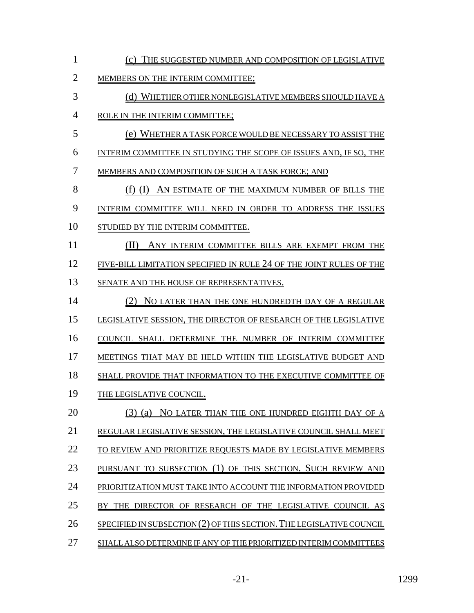| $\mathbf{1}$   | (c) THE SUGGESTED NUMBER AND COMPOSITION OF LEGISLATIVE              |
|----------------|----------------------------------------------------------------------|
| $\overline{2}$ | MEMBERS ON THE INTERIM COMMITTEE;                                    |
| 3              | (d) WHETHER OTHER NONLEGISLATIVE MEMBERS SHOULD HAVE A               |
| $\overline{4}$ | ROLE IN THE INTERIM COMMITTEE;                                       |
| 5              | (e) WHETHER A TASK FORCE WOULD BE NECESSARY TO ASSIST THE            |
| 6              | INTERIM COMMITTEE IN STUDYING THE SCOPE OF ISSUES AND, IF SO, THE    |
| 7              | MEMBERS AND COMPOSITION OF SUCH A TASK FORCE; AND                    |
| 8              | (f) (I) AN ESTIMATE OF THE MAXIMUM NUMBER OF BILLS THE               |
| 9              | INTERIM COMMITTEE WILL NEED IN ORDER TO ADDRESS THE ISSUES           |
| 10             | STUDIED BY THE INTERIM COMMITTEE.                                    |
| 11             | (II)<br>ANY INTERIM COMMITTEE BILLS ARE EXEMPT FROM THE              |
| 12             | FIVE-BILL LIMITATION SPECIFIED IN RULE 24 OF THE JOINT RULES OF THE  |
| 13             | SENATE AND THE HOUSE OF REPRESENTATIVES.                             |
| 14             | (2) NO LATER THAN THE ONE HUNDREDTH DAY OF A REGULAR                 |
| 15             | LEGISLATIVE SESSION, THE DIRECTOR OF RESEARCH OF THE LEGISLATIVE     |
| 16             | COUNCIL SHALL DETERMINE THE NUMBER OF INTERIM COMMITTEE              |
| 17             | MEETINGS THAT MAY BE HELD WITHIN THE LEGISLATIVE BUDGET AND          |
| 18             | SHALL PROVIDE THAT INFORMATION TO THE EXECUTIVE COMMITTEE OF         |
| 19             | THE LEGISLATIVE COUNCIL.                                             |
| 20             | $(3)$ (a)<br>NO LATER THAN THE ONE HUNDRED EIGHTH DAY OF A           |
| 21             | REGULAR LEGISLATIVE SESSION, THE LEGISLATIVE COUNCIL SHALL MEET      |
| 22             | TO REVIEW AND PRIORITIZE REQUESTS MADE BY LEGISLATIVE MEMBERS        |
| 23             | PURSUANT TO SUBSECTION (1) OF THIS SECTION. SUCH REVIEW AND          |
| 24             | PRIORITIZATION MUST TAKE INTO ACCOUNT THE INFORMATION PROVIDED       |
| 25             | THE DIRECTOR OF RESEARCH OF THE LEGISLATIVE COUNCIL AS<br>BY         |
| 26             | SPECIFIED IN SUBSECTION (2) OF THIS SECTION. THE LEGISLATIVE COUNCIL |
| 27             | SHALL ALSO DETERMINE IF ANY OF THE PRIORITIZED INTERIM COMMITTEES    |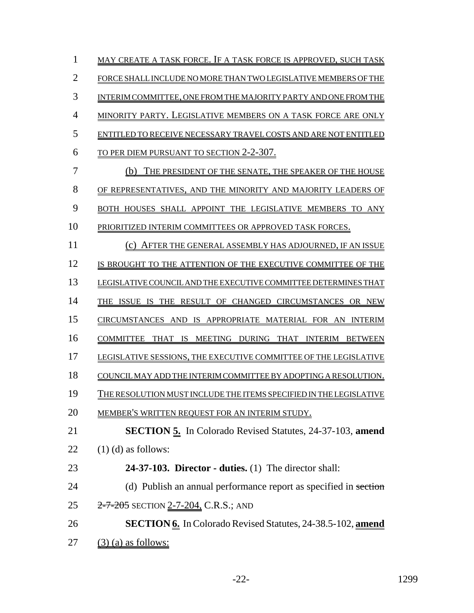| $\mathbf{1}$   | MAY CREATE A TASK FORCE. IF A TASK FORCE IS APPROVED, SUCH TASK     |
|----------------|---------------------------------------------------------------------|
| $\overline{2}$ | FORCE SHALL INCLUDE NO MORE THAN TWO LEGISLATIVE MEMBERS OF THE     |
| 3              | INTERIM COMMITTEE, ONE FROM THE MAJORITY PARTY AND ONE FROM THE     |
| $\overline{4}$ | <b>MINORITY PARTY. LEGISLATIVE MEMBERS ON A TASK FORCE ARE ONLY</b> |
| 5              | ENTITLED TO RECEIVE NECESSARY TRAVEL COSTS AND ARE NOT ENTITLED     |
| 6              | <u>TO PER DIEM PURSUANT TO SECTION 2-2-307.</u>                     |
| 7              | (b) THE PRESIDENT OF THE SENATE, THE SPEAKER OF THE HOUSE           |
| 8              | OF REPRESENTATIVES, AND THE MINORITY AND MAJORITY LEADERS OF        |
| 9              | BOTH HOUSES SHALL APPOINT THE LEGISLATIVE MEMBERS TO ANY            |
| 10             | PRIORITIZED INTERIM COMMITTEES OR APPROVED TASK FORCES.             |
| 11             | (c) AFTER THE GENERAL ASSEMBLY HAS ADJOURNED, IF AN ISSUE           |
| 12             | IS BROUGHT TO THE ATTENTION OF THE EXECUTIVE COMMITTEE OF THE       |
| 13             | LEGISLATIVE COUNCIL AND THE EXECUTIVE COMMITTEE DETERMINES THAT     |
| 14             | THE ISSUE IS THE RESULT OF CHANGED CIRCUMSTANCES OR NEW             |
| 15             | CIRCUMSTANCES AND IS APPROPRIATE MATERIAL FOR AN INTERIM            |
| 16             | COMMITTEE THAT IS MEETING DURING THAT INTERIM BETWEEN               |
| 17             | LEGISLATIVE SESSIONS, THE EXECUTIVE COMMITTEE OF THE LEGISLATIVE    |
| 18             | COUNCIL MAY ADD THE INTERIM COMMITTEE BY ADOPTING A RESOLUTION.     |
| 19             | THE RESOLUTION MUST INCLUDE THE ITEMS SPECIFIED IN THE LEGISLATIVE  |
| 20             | MEMBER'S WRITTEN REQUEST FOR AN INTERIM STUDY.                      |
| 21             | <b>SECTION 5.</b> In Colorado Revised Statutes, 24-37-103, amend    |
| 22             | $(1)$ (d) as follows:                                               |
| 23             | 24-37-103. Director - duties. $(1)$ The director shall:             |
| 24             | (d) Publish an annual performance report as specified in section    |
| 25             | 2-7-205 SECTION 2-7-204, C.R.S.; AND                                |
| 26             | SECTION 6. In Colorado Revised Statutes, 24-38.5-102, amend         |
| 27             | $(3)$ (a) as follows:                                               |